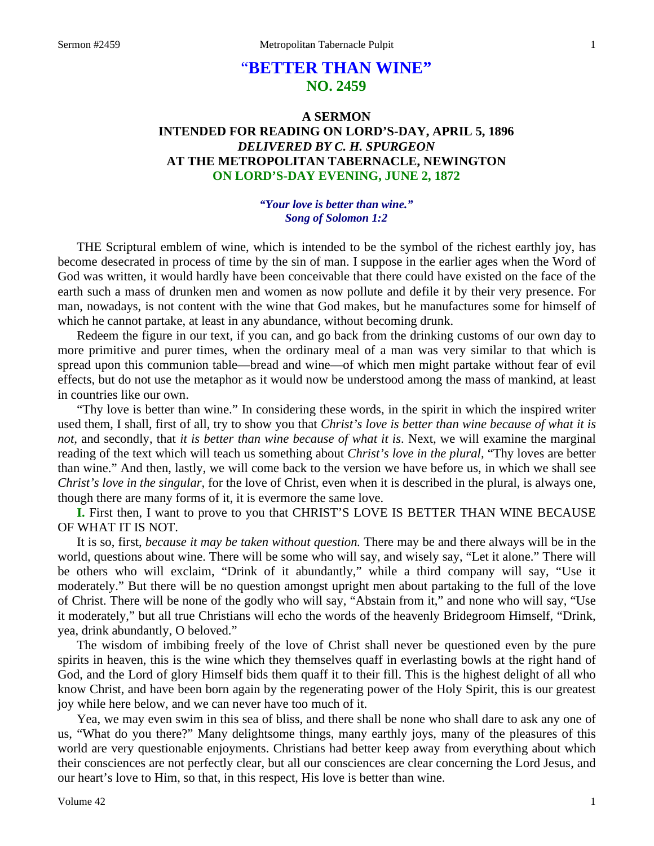# "**BETTER THAN WINE" NO. 2459**

# **A SERMON INTENDED FOR READING ON LORD'S-DAY, APRIL 5, 1896**  *DELIVERED BY C. H. SPURGEON*  **AT THE METROPOLITAN TABERNACLE, NEWINGTON ON LORD'S-DAY EVENING, JUNE 2, 1872**

*"Your love is better than wine." Song of Solomon 1:2* 

THE Scriptural emblem of wine, which is intended to be the symbol of the richest earthly joy, has become desecrated in process of time by the sin of man. I suppose in the earlier ages when the Word of God was written, it would hardly have been conceivable that there could have existed on the face of the earth such a mass of drunken men and women as now pollute and defile it by their very presence. For man, nowadays, is not content with the wine that God makes, but he manufactures some for himself of which he cannot partake, at least in any abundance, without becoming drunk.

Redeem the figure in our text, if you can, and go back from the drinking customs of our own day to more primitive and purer times, when the ordinary meal of a man was very similar to that which is spread upon this communion table—bread and wine—of which men might partake without fear of evil effects, but do not use the metaphor as it would now be understood among the mass of mankind, at least in countries like our own.

"Thy love is better than wine." In considering these words, in the spirit in which the inspired writer used them, I shall, first of all, try to show you that *Christ's love is better than wine because of what it is not,* and secondly, that *it is better than wine because of what it is*. Next, we will examine the marginal reading of the text which will teach us something about *Christ's love in the plural,* "Thy loves are better than wine." And then, lastly, we will come back to the version we have before us, in which we shall see *Christ's love in the singular,* for the love of Christ, even when it is described in the plural, is always one, though there are many forms of it, it is evermore the same love.

**I.** First then, I want to prove to you that CHRIST'S LOVE IS BETTER THAN WINE BECAUSE OF WHAT IT IS NOT.

It is so, first, *because it may be taken without question.* There may be and there always will be in the world, questions about wine. There will be some who will say, and wisely say, "Let it alone." There will be others who will exclaim, "Drink of it abundantly," while a third company will say, "Use it moderately." But there will be no question amongst upright men about partaking to the full of the love of Christ. There will be none of the godly who will say, "Abstain from it," and none who will say, "Use it moderately," but all true Christians will echo the words of the heavenly Bridegroom Himself, "Drink, yea, drink abundantly, O beloved."

The wisdom of imbibing freely of the love of Christ shall never be questioned even by the pure spirits in heaven, this is the wine which they themselves quaff in everlasting bowls at the right hand of God, and the Lord of glory Himself bids them quaff it to their fill. This is the highest delight of all who know Christ, and have been born again by the regenerating power of the Holy Spirit, this is our greatest joy while here below, and we can never have too much of it.

Yea, we may even swim in this sea of bliss, and there shall be none who shall dare to ask any one of us, "What do you there?" Many delightsome things, many earthly joys, many of the pleasures of this world are very questionable enjoyments. Christians had better keep away from everything about which their consciences are not perfectly clear, but all our consciences are clear concerning the Lord Jesus, and our heart's love to Him, so that, in this respect, His love is better than wine.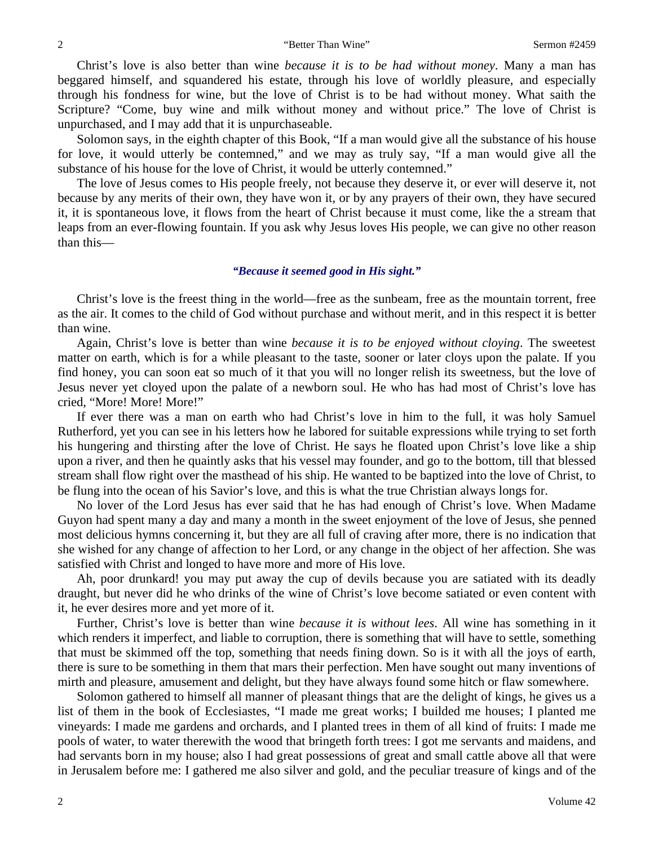Christ's love is also better than wine *because it is to be had without money*. Many a man has beggared himself, and squandered his estate, through his love of worldly pleasure, and especially through his fondness for wine, but the love of Christ is to be had without money. What saith the Scripture? "Come, buy wine and milk without money and without price." The love of Christ is unpurchased, and I may add that it is unpurchaseable.

Solomon says, in the eighth chapter of this Book, "If a man would give all the substance of his house for love, it would utterly be contemned," and we may as truly say, "If a man would give all the substance of his house for the love of Christ, it would be utterly contemned."

The love of Jesus comes to His people freely, not because they deserve it, or ever will deserve it, not because by any merits of their own, they have won it, or by any prayers of their own, they have secured it, it is spontaneous love, it flows from the heart of Christ because it must come, like the a stream that leaps from an ever-flowing fountain. If you ask why Jesus loves His people, we can give no other reason than this—

### *"Because it seemed good in His sight."*

Christ's love is the freest thing in the world—free as the sunbeam, free as the mountain torrent, free as the air. It comes to the child of God without purchase and without merit, and in this respect it is better than wine.

Again, Christ's love is better than wine *because it is to be enjoyed without cloying*. The sweetest matter on earth, which is for a while pleasant to the taste, sooner or later cloys upon the palate. If you find honey, you can soon eat so much of it that you will no longer relish its sweetness, but the love of Jesus never yet cloyed upon the palate of a newborn soul. He who has had most of Christ's love has cried, "More! More! More!"

If ever there was a man on earth who had Christ's love in him to the full, it was holy Samuel Rutherford, yet you can see in his letters how he labored for suitable expressions while trying to set forth his hungering and thirsting after the love of Christ. He says he floated upon Christ's love like a ship upon a river, and then he quaintly asks that his vessel may founder, and go to the bottom, till that blessed stream shall flow right over the masthead of his ship. He wanted to be baptized into the love of Christ, to be flung into the ocean of his Savior's love, and this is what the true Christian always longs for.

No lover of the Lord Jesus has ever said that he has had enough of Christ's love. When Madame Guyon had spent many a day and many a month in the sweet enjoyment of the love of Jesus, she penned most delicious hymns concerning it, but they are all full of craving after more, there is no indication that she wished for any change of affection to her Lord, or any change in the object of her affection. She was satisfied with Christ and longed to have more and more of His love.

Ah, poor drunkard! you may put away the cup of devils because you are satiated with its deadly draught, but never did he who drinks of the wine of Christ's love become satiated or even content with it, he ever desires more and yet more of it.

Further, Christ's love is better than wine *because it is without lees*. All wine has something in it which renders it imperfect, and liable to corruption, there is something that will have to settle, something that must be skimmed off the top, something that needs fining down. So is it with all the joys of earth, there is sure to be something in them that mars their perfection. Men have sought out many inventions of mirth and pleasure, amusement and delight, but they have always found some hitch or flaw somewhere.

Solomon gathered to himself all manner of pleasant things that are the delight of kings, he gives us a list of them in the book of Ecclesiastes, "I made me great works; I builded me houses; I planted me vineyards: I made me gardens and orchards, and I planted trees in them of all kind of fruits: I made me pools of water, to water therewith the wood that bringeth forth trees: I got me servants and maidens, and had servants born in my house; also I had great possessions of great and small cattle above all that were in Jerusalem before me: I gathered me also silver and gold, and the peculiar treasure of kings and of the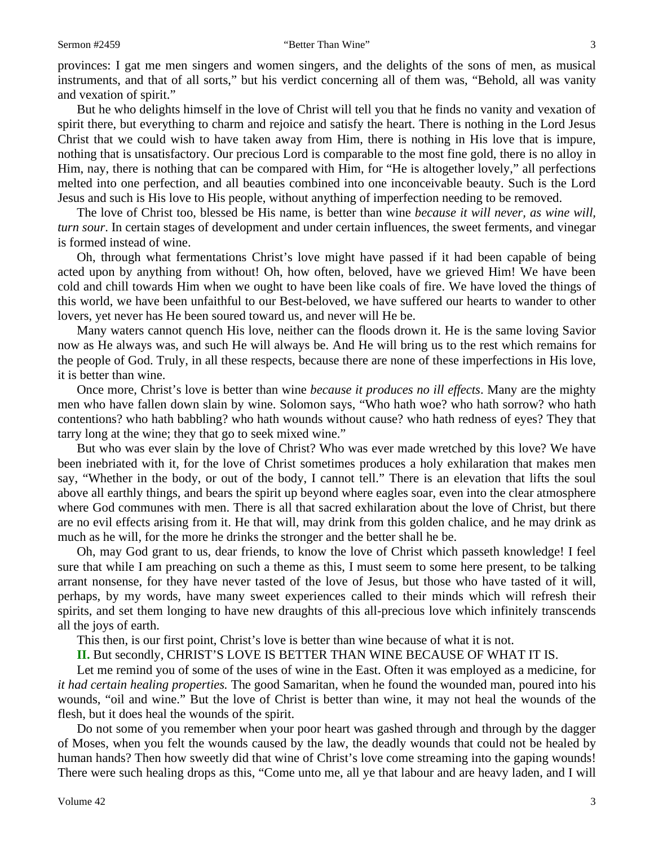provinces: I gat me men singers and women singers, and the delights of the sons of men, as musical instruments, and that of all sorts," but his verdict concerning all of them was, "Behold, all was vanity and vexation of spirit."

But he who delights himself in the love of Christ will tell you that he finds no vanity and vexation of spirit there, but everything to charm and rejoice and satisfy the heart. There is nothing in the Lord Jesus Christ that we could wish to have taken away from Him, there is nothing in His love that is impure, nothing that is unsatisfactory. Our precious Lord is comparable to the most fine gold, there is no alloy in Him, nay, there is nothing that can be compared with Him, for "He is altogether lovely," all perfections melted into one perfection, and all beauties combined into one inconceivable beauty. Such is the Lord Jesus and such is His love to His people, without anything of imperfection needing to be removed.

The love of Christ too, blessed be His name, is better than wine *because it will never, as wine will, turn sour*. In certain stages of development and under certain influences, the sweet ferments, and vinegar is formed instead of wine.

Oh, through what fermentations Christ's love might have passed if it had been capable of being acted upon by anything from without! Oh, how often, beloved, have we grieved Him! We have been cold and chill towards Him when we ought to have been like coals of fire. We have loved the things of this world, we have been unfaithful to our Best-beloved, we have suffered our hearts to wander to other lovers, yet never has He been soured toward us, and never will He be.

Many waters cannot quench His love, neither can the floods drown it. He is the same loving Savior now as He always was, and such He will always be. And He will bring us to the rest which remains for the people of God. Truly, in all these respects, because there are none of these imperfections in His love, it is better than wine.

Once more, Christ's love is better than wine *because it produces no ill effects*. Many are the mighty men who have fallen down slain by wine. Solomon says, "Who hath woe? who hath sorrow? who hath contentions? who hath babbling? who hath wounds without cause? who hath redness of eyes? They that tarry long at the wine; they that go to seek mixed wine."

But who was ever slain by the love of Christ? Who was ever made wretched by this love? We have been inebriated with it, for the love of Christ sometimes produces a holy exhilaration that makes men say, "Whether in the body, or out of the body, I cannot tell." There is an elevation that lifts the soul above all earthly things, and bears the spirit up beyond where eagles soar, even into the clear atmosphere where God communes with men. There is all that sacred exhilaration about the love of Christ, but there are no evil effects arising from it. He that will, may drink from this golden chalice, and he may drink as much as he will, for the more he drinks the stronger and the better shall he be.

Oh, may God grant to us, dear friends, to know the love of Christ which passeth knowledge! I feel sure that while I am preaching on such a theme as this, I must seem to some here present, to be talking arrant nonsense, for they have never tasted of the love of Jesus, but those who have tasted of it will, perhaps, by my words, have many sweet experiences called to their minds which will refresh their spirits, and set them longing to have new draughts of this all-precious love which infinitely transcends all the joys of earth.

This then, is our first point, Christ's love is better than wine because of what it is not.

**II.** But secondly, CHRIST'S LOVE IS BETTER THAN WINE BECAUSE OF WHAT IT IS.

Let me remind you of some of the uses of wine in the East. Often it was employed as a medicine, for *it had certain healing properties.* The good Samaritan, when he found the wounded man, poured into his wounds, "oil and wine." But the love of Christ is better than wine, it may not heal the wounds of the flesh, but it does heal the wounds of the spirit.

Do not some of you remember when your poor heart was gashed through and through by the dagger of Moses, when you felt the wounds caused by the law, the deadly wounds that could not be healed by human hands? Then how sweetly did that wine of Christ's love come streaming into the gaping wounds! There were such healing drops as this, "Come unto me, all ye that labour and are heavy laden, and I will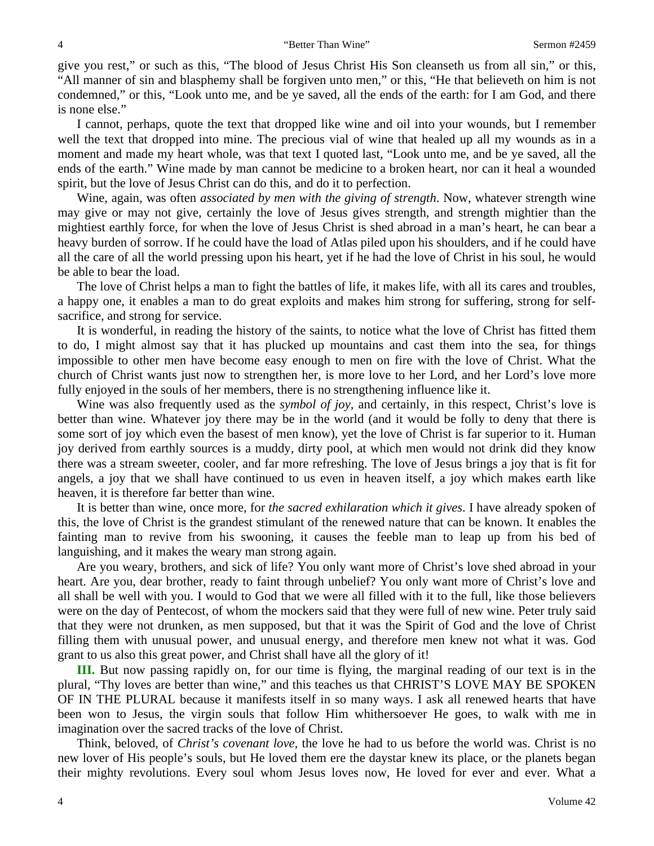give you rest," or such as this, "The blood of Jesus Christ His Son cleanseth us from all sin," or this, "All manner of sin and blasphemy shall be forgiven unto men," or this, "He that believeth on him is not condemned," or this, "Look unto me, and be ye saved, all the ends of the earth: for I am God, and there is none else."

I cannot, perhaps, quote the text that dropped like wine and oil into your wounds, but I remember well the text that dropped into mine. The precious vial of wine that healed up all my wounds as in a moment and made my heart whole, was that text I quoted last, "Look unto me, and be ye saved, all the ends of the earth." Wine made by man cannot be medicine to a broken heart, nor can it heal a wounded spirit, but the love of Jesus Christ can do this, and do it to perfection.

Wine, again, was often *associated by men with the giving of strength*. Now, whatever strength wine may give or may not give, certainly the love of Jesus gives strength, and strength mightier than the mightiest earthly force, for when the love of Jesus Christ is shed abroad in a man's heart, he can bear a heavy burden of sorrow. If he could have the load of Atlas piled upon his shoulders, and if he could have all the care of all the world pressing upon his heart, yet if he had the love of Christ in his soul, he would be able to bear the load.

The love of Christ helps a man to fight the battles of life, it makes life, with all its cares and troubles, a happy one, it enables a man to do great exploits and makes him strong for suffering, strong for selfsacrifice, and strong for service.

It is wonderful, in reading the history of the saints, to notice what the love of Christ has fitted them to do, I might almost say that it has plucked up mountains and cast them into the sea, for things impossible to other men have become easy enough to men on fire with the love of Christ. What the church of Christ wants just now to strengthen her, is more love to her Lord, and her Lord's love more fully enjoyed in the souls of her members, there is no strengthening influence like it.

Wine was also frequently used as the *symbol of joy,* and certainly, in this respect, Christ's love is better than wine. Whatever joy there may be in the world (and it would be folly to deny that there is some sort of joy which even the basest of men know), yet the love of Christ is far superior to it. Human joy derived from earthly sources is a muddy, dirty pool, at which men would not drink did they know there was a stream sweeter, cooler, and far more refreshing. The love of Jesus brings a joy that is fit for angels, a joy that we shall have continued to us even in heaven itself, a joy which makes earth like heaven, it is therefore far better than wine.

It is better than wine, once more, for *the sacred exhilaration which it gives*. I have already spoken of this, the love of Christ is the grandest stimulant of the renewed nature that can be known. It enables the fainting man to revive from his swooning, it causes the feeble man to leap up from his bed of languishing, and it makes the weary man strong again.

Are you weary, brothers, and sick of life? You only want more of Christ's love shed abroad in your heart. Are you, dear brother, ready to faint through unbelief? You only want more of Christ's love and all shall be well with you. I would to God that we were all filled with it to the full, like those believers were on the day of Pentecost, of whom the mockers said that they were full of new wine. Peter truly said that they were not drunken, as men supposed, but that it was the Spirit of God and the love of Christ filling them with unusual power, and unusual energy, and therefore men knew not what it was. God grant to us also this great power, and Christ shall have all the glory of it!

**III.** But now passing rapidly on, for our time is flying, the marginal reading of our text is in the plural, "Thy loves are better than wine," and this teaches us that CHRIST'S LOVE MAY BE SPOKEN OF IN THE PLURAL because it manifests itself in so many ways. I ask all renewed hearts that have been won to Jesus, the virgin souls that follow Him whithersoever He goes, to walk with me in imagination over the sacred tracks of the love of Christ.

Think, beloved, of *Christ's covenant love,* the love he had to us before the world was. Christ is no new lover of His people's souls, but He loved them ere the daystar knew its place, or the planets began their mighty revolutions. Every soul whom Jesus loves now, He loved for ever and ever. What a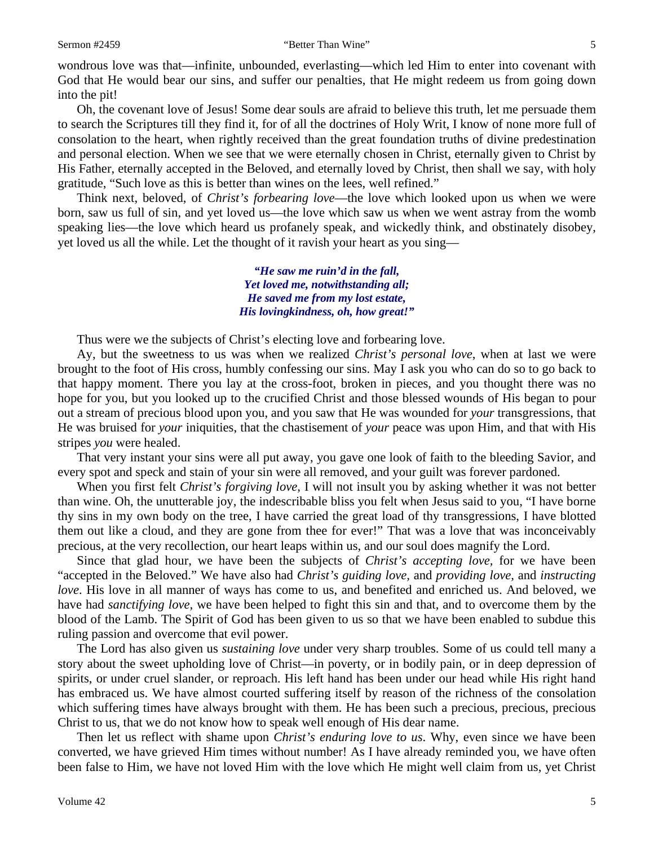wondrous love was that—infinite, unbounded, everlasting—which led Him to enter into covenant with God that He would bear our sins, and suffer our penalties, that He might redeem us from going down into the pit!

Oh, the covenant love of Jesus! Some dear souls are afraid to believe this truth, let me persuade them to search the Scriptures till they find it, for of all the doctrines of Holy Writ, I know of none more full of consolation to the heart, when rightly received than the great foundation truths of divine predestination and personal election. When we see that we were eternally chosen in Christ, eternally given to Christ by His Father, eternally accepted in the Beloved, and eternally loved by Christ, then shall we say, with holy gratitude, "Such love as this is better than wines on the lees, well refined."

Think next, beloved, of *Christ's forbearing love*—the love which looked upon us when we were born, saw us full of sin, and yet loved us—the love which saw us when we went astray from the womb speaking lies—the love which heard us profanely speak, and wickedly think, and obstinately disobey, yet loved us all the while. Let the thought of it ravish your heart as you sing—

> *"He saw me ruin'd in the fall, Yet loved me, notwithstanding all; He saved me from my lost estate, His lovingkindness, oh, how great!"*

Thus were we the subjects of Christ's electing love and forbearing love.

Ay, but the sweetness to us was when we realized *Christ's personal love*, when at last we were brought to the foot of His cross, humbly confessing our sins. May I ask you who can do so to go back to that happy moment. There you lay at the cross-foot, broken in pieces, and you thought there was no hope for you, but you looked up to the crucified Christ and those blessed wounds of His began to pour out a stream of precious blood upon you, and you saw that He was wounded for *your* transgressions, that He was bruised for *your* iniquities, that the chastisement of *your* peace was upon Him, and that with His stripes *you* were healed.

That very instant your sins were all put away, you gave one look of faith to the bleeding Savior, and every spot and speck and stain of your sin were all removed, and your guilt was forever pardoned.

When you first felt *Christ's forgiving love,* I will not insult you by asking whether it was not better than wine. Oh, the unutterable joy, the indescribable bliss you felt when Jesus said to you, "I have borne thy sins in my own body on the tree, I have carried the great load of thy transgressions, I have blotted them out like a cloud, and they are gone from thee for ever!" That was a love that was inconceivably precious, at the very recollection, our heart leaps within us, and our soul does magnify the Lord.

Since that glad hour, we have been the subjects of *Christ's accepting love,* for we have been "accepted in the Beloved." We have also had *Christ's guiding love,* and *providing love,* and *instructing love*. His love in all manner of ways has come to us, and benefited and enriched us. And beloved, we have had *sanctifying love,* we have been helped to fight this sin and that, and to overcome them by the blood of the Lamb. The Spirit of God has been given to us so that we have been enabled to subdue this ruling passion and overcome that evil power.

The Lord has also given us *sustaining love* under very sharp troubles. Some of us could tell many a story about the sweet upholding love of Christ—in poverty, or in bodily pain, or in deep depression of spirits, or under cruel slander, or reproach. His left hand has been under our head while His right hand has embraced us. We have almost courted suffering itself by reason of the richness of the consolation which suffering times have always brought with them. He has been such a precious, precious, precious Christ to us, that we do not know how to speak well enough of His dear name.

Then let us reflect with shame upon *Christ's enduring love to us*. Why, even since we have been converted, we have grieved Him times without number! As I have already reminded you, we have often been false to Him, we have not loved Him with the love which He might well claim from us, yet Christ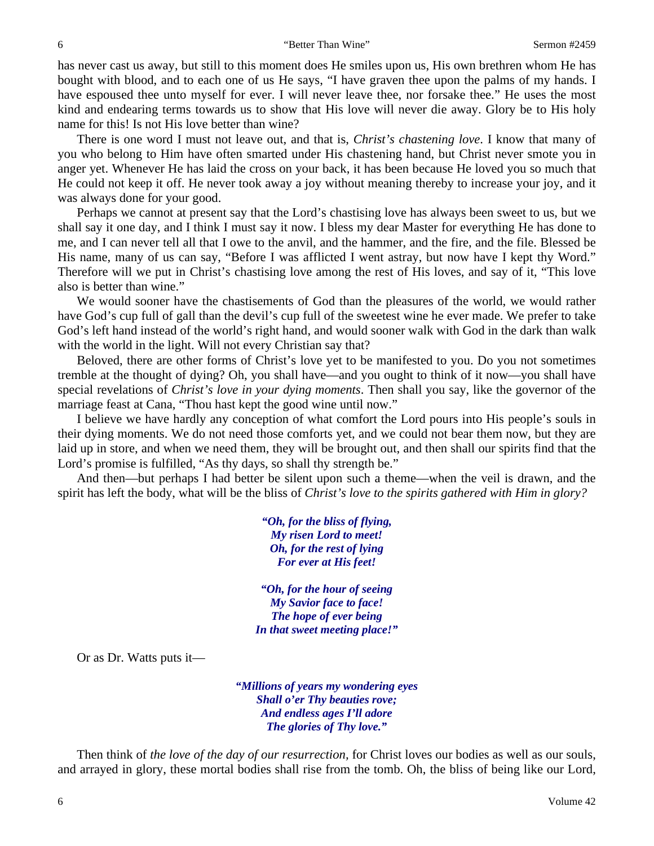has never cast us away, but still to this moment does He smiles upon us, His own brethren whom He has bought with blood, and to each one of us He says, "I have graven thee upon the palms of my hands. I have espoused thee unto myself for ever. I will never leave thee, nor forsake thee." He uses the most kind and endearing terms towards us to show that His love will never die away. Glory be to His holy name for this! Is not His love better than wine?

There is one word I must not leave out, and that is, *Christ's chastening love*. I know that many of you who belong to Him have often smarted under His chastening hand, but Christ never smote you in anger yet. Whenever He has laid the cross on your back, it has been because He loved you so much that He could not keep it off. He never took away a joy without meaning thereby to increase your joy, and it was always done for your good.

Perhaps we cannot at present say that the Lord's chastising love has always been sweet to us, but we shall say it one day, and I think I must say it now. I bless my dear Master for everything He has done to me, and I can never tell all that I owe to the anvil, and the hammer, and the fire, and the file. Blessed be His name, many of us can say, "Before I was afflicted I went astray, but now have I kept thy Word." Therefore will we put in Christ's chastising love among the rest of His loves, and say of it, "This love also is better than wine."

We would sooner have the chastisements of God than the pleasures of the world, we would rather have God's cup full of gall than the devil's cup full of the sweetest wine he ever made. We prefer to take God's left hand instead of the world's right hand, and would sooner walk with God in the dark than walk with the world in the light. Will not every Christian say that?

Beloved, there are other forms of Christ's love yet to be manifested to you. Do you not sometimes tremble at the thought of dying? Oh, you shall have—and you ought to think of it now—you shall have special revelations of *Christ's love in your dying moments*. Then shall you say, like the governor of the marriage feast at Cana, "Thou hast kept the good wine until now."

I believe we have hardly any conception of what comfort the Lord pours into His people's souls in their dying moments. We do not need those comforts yet, and we could not bear them now, but they are laid up in store, and when we need them, they will be brought out, and then shall our spirits find that the Lord's promise is fulfilled, "As thy days, so shall thy strength be."

And then—but perhaps I had better be silent upon such a theme—when the veil is drawn, and the spirit has left the body, what will be the bliss of *Christ's love to the spirits gathered with Him in glory?* 

> *"Oh, for the bliss of flying, My risen Lord to meet! Oh, for the rest of lying For ever at His feet!*

*"Oh, for the hour of seeing My Savior face to face! The hope of ever being In that sweet meeting place!"* 

Or as Dr. Watts puts it—

*"Millions of years my wondering eyes Shall o'er Thy beauties rove; And endless ages I'll adore The glories of Thy love."* 

Then think of *the love of the day of our resurrection,* for Christ loves our bodies as well as our souls, and arrayed in glory, these mortal bodies shall rise from the tomb. Oh, the bliss of being like our Lord,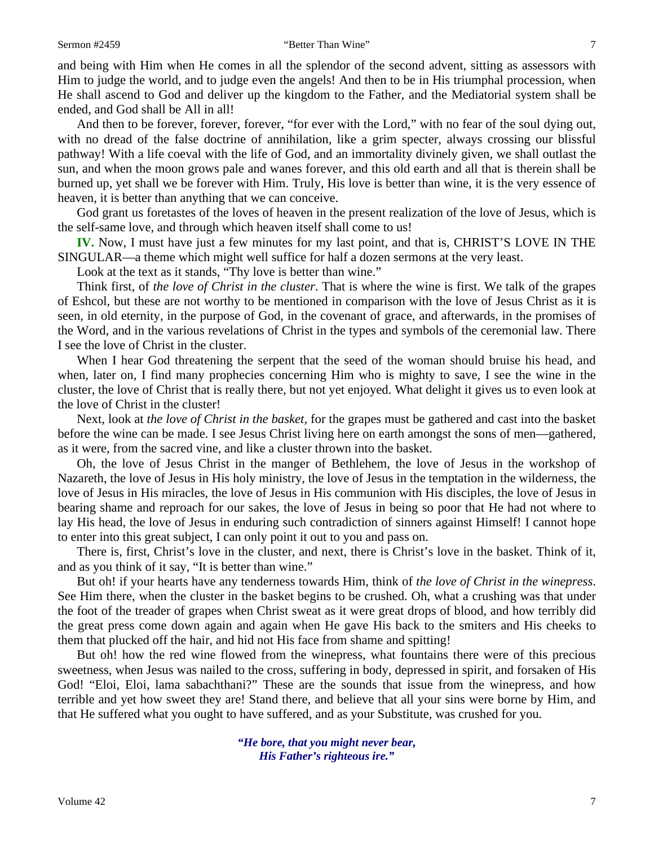and being with Him when He comes in all the splendor of the second advent, sitting as assessors with Him to judge the world, and to judge even the angels! And then to be in His triumphal procession, when He shall ascend to God and deliver up the kingdom to the Father, and the Mediatorial system shall be ended, and God shall be All in all!

And then to be forever, forever, forever, "for ever with the Lord," with no fear of the soul dying out, with no dread of the false doctrine of annihilation, like a grim specter, always crossing our blissful pathway! With a life coeval with the life of God, and an immortality divinely given, we shall outlast the sun, and when the moon grows pale and wanes forever, and this old earth and all that is therein shall be burned up, yet shall we be forever with Him. Truly, His love is better than wine, it is the very essence of heaven, it is better than anything that we can conceive.

God grant us foretastes of the loves of heaven in the present realization of the love of Jesus, which is the self-same love, and through which heaven itself shall come to us!

**IV.** Now, I must have just a few minutes for my last point, and that is, CHRIST'S LOVE IN THE SINGULAR—a theme which might well suffice for half a dozen sermons at the very least.

Look at the text as it stands, "Thy love is better than wine."

Think first, of *the love of Christ in the cluster*. That is where the wine is first. We talk of the grapes of Eshcol, but these are not worthy to be mentioned in comparison with the love of Jesus Christ as it is seen, in old eternity, in the purpose of God, in the covenant of grace, and afterwards, in the promises of the Word, and in the various revelations of Christ in the types and symbols of the ceremonial law. There I see the love of Christ in the cluster.

When I hear God threatening the serpent that the seed of the woman should bruise his head, and when, later on, I find many prophecies concerning Him who is mighty to save, I see the wine in the cluster, the love of Christ that is really there, but not yet enjoyed. What delight it gives us to even look at the love of Christ in the cluster!

Next, look at *the love of Christ in the basket,* for the grapes must be gathered and cast into the basket before the wine can be made. I see Jesus Christ living here on earth amongst the sons of men—gathered, as it were, from the sacred vine, and like a cluster thrown into the basket.

Oh, the love of Jesus Christ in the manger of Bethlehem, the love of Jesus in the workshop of Nazareth, the love of Jesus in His holy ministry, the love of Jesus in the temptation in the wilderness, the love of Jesus in His miracles, the love of Jesus in His communion with His disciples, the love of Jesus in bearing shame and reproach for our sakes, the love of Jesus in being so poor that He had not where to lay His head, the love of Jesus in enduring such contradiction of sinners against Himself! I cannot hope to enter into this great subject, I can only point it out to you and pass on.

There is, first, Christ's love in the cluster, and next, there is Christ's love in the basket. Think of it, and as you think of it say, "It is better than wine."

But oh! if your hearts have any tenderness towards Him, think of *the love of Christ in the winepress*. See Him there, when the cluster in the basket begins to be crushed. Oh, what a crushing was that under the foot of the treader of grapes when Christ sweat as it were great drops of blood, and how terribly did the great press come down again and again when He gave His back to the smiters and His cheeks to them that plucked off the hair, and hid not His face from shame and spitting!

But oh! how the red wine flowed from the winepress, what fountains there were of this precious sweetness, when Jesus was nailed to the cross, suffering in body, depressed in spirit, and forsaken of His God! "Eloi, Eloi, lama sabachthani?" These are the sounds that issue from the winepress, and how terrible and yet how sweet they are! Stand there, and believe that all your sins were borne by Him, and that He suffered what you ought to have suffered, and as your Substitute, was crushed for you.

> *"He bore, that you might never bear, His Father's righteous ire."*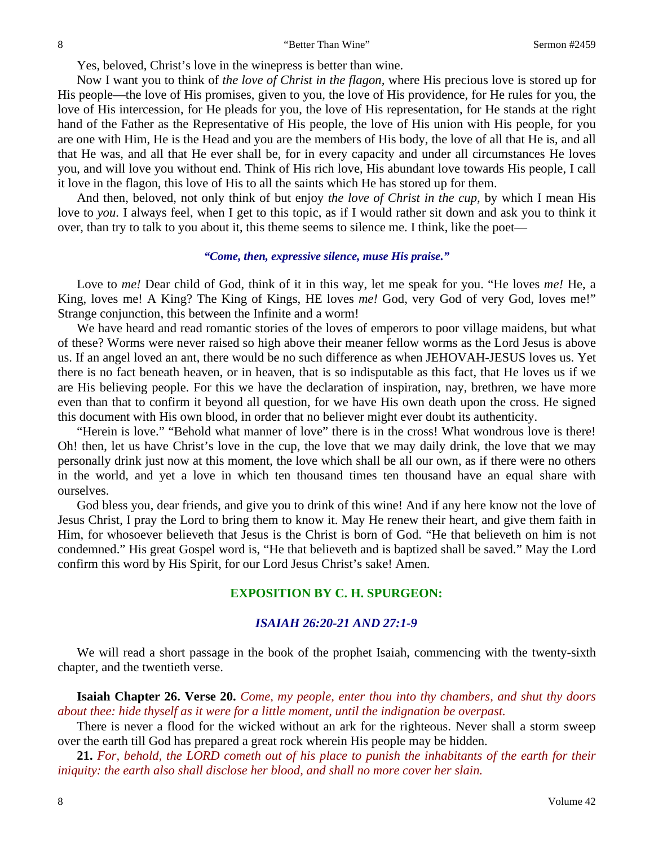Yes, beloved, Christ's love in the winepress is better than wine.

Now I want you to think of *the love of Christ in the flagon,* where His precious love is stored up for His people—the love of His promises, given to you, the love of His providence, for He rules for you, the love of His intercession, for He pleads for you, the love of His representation, for He stands at the right hand of the Father as the Representative of His people, the love of His union with His people, for you are one with Him, He is the Head and you are the members of His body, the love of all that He is, and all that He was, and all that He ever shall be, for in every capacity and under all circumstances He loves you, and will love you without end. Think of His rich love, His abundant love towards His people, I call it love in the flagon, this love of His to all the saints which He has stored up for them.

And then, beloved, not only think of but enjoy *the love of Christ in the cup,* by which I mean His love to *you*. I always feel, when I get to this topic, as if I would rather sit down and ask you to think it over, than try to talk to you about it, this theme seems to silence me. I think, like the poet—

#### *"Come, then, expressive silence, muse His praise."*

Love to *me!* Dear child of God, think of it in this way, let me speak for you. "He loves *me!* He, a King, loves me! A King? The King of Kings, HE loves *me!* God, very God of very God, loves me!" Strange conjunction, this between the Infinite and a worm!

We have heard and read romantic stories of the loves of emperors to poor village maidens, but what of these? Worms were never raised so high above their meaner fellow worms as the Lord Jesus is above us. If an angel loved an ant, there would be no such difference as when JEHOVAH-JESUS loves us. Yet there is no fact beneath heaven, or in heaven, that is so indisputable as this fact, that He loves us if we are His believing people. For this we have the declaration of inspiration, nay, brethren, we have more even than that to confirm it beyond all question, for we have His own death upon the cross. He signed this document with His own blood, in order that no believer might ever doubt its authenticity.

"Herein is love." "Behold what manner of love" there is in the cross! What wondrous love is there! Oh! then, let us have Christ's love in the cup, the love that we may daily drink, the love that we may personally drink just now at this moment, the love which shall be all our own, as if there were no others in the world, and yet a love in which ten thousand times ten thousand have an equal share with ourselves.

God bless you, dear friends, and give you to drink of this wine! And if any here know not the love of Jesus Christ, I pray the Lord to bring them to know it. May He renew their heart, and give them faith in Him, for whosoever believeth that Jesus is the Christ is born of God. "He that believeth on him is not condemned." His great Gospel word is, "He that believeth and is baptized shall be saved." May the Lord confirm this word by His Spirit, for our Lord Jesus Christ's sake! Amen.

# **EXPOSITION BY C. H. SPURGEON:**

# *ISAIAH 26:20-21 AND 27:1-9*

We will read a short passage in the book of the prophet Isaiah, commencing with the twenty-sixth chapter, and the twentieth verse.

**Isaiah Chapter 26. Verse 20.** *Come, my people, enter thou into thy chambers, and shut thy doors about thee: hide thyself as it were for a little moment, until the indignation be overpast.* 

There is never a flood for the wicked without an ark for the righteous. Never shall a storm sweep over the earth till God has prepared a great rock wherein His people may be hidden.

**21.** *For, behold, the LORD cometh out of his place to punish the inhabitants of the earth for their iniquity: the earth also shall disclose her blood, and shall no more cover her slain.*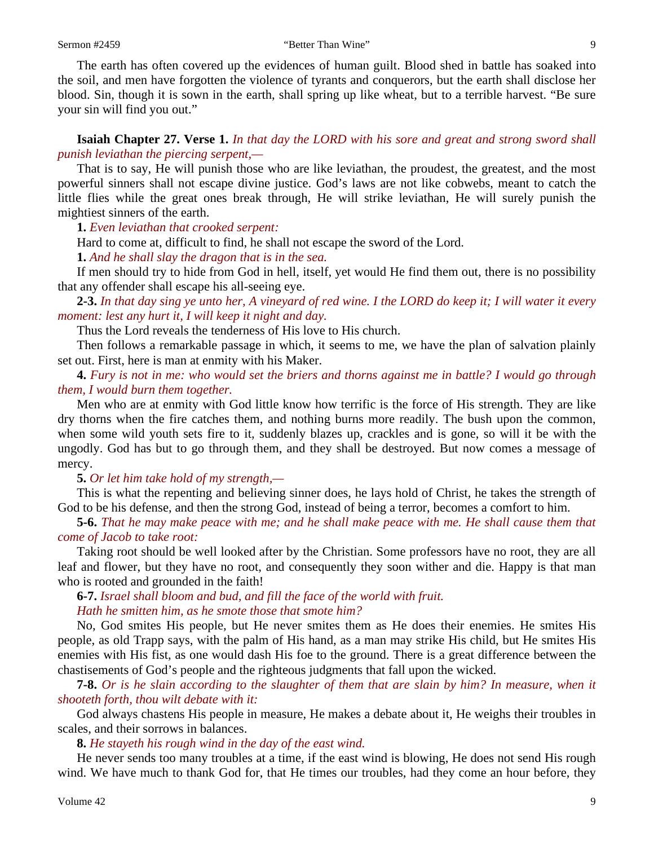The earth has often covered up the evidences of human guilt. Blood shed in battle has soaked into the soil, and men have forgotten the violence of tyrants and conquerors, but the earth shall disclose her blood. Sin, though it is sown in the earth, shall spring up like wheat, but to a terrible harvest. "Be sure your sin will find you out."

**Isaiah Chapter 27. Verse 1.** *In that day the LORD with his sore and great and strong sword shall punish leviathan the piercing serpent,—* 

That is to say, He will punish those who are like leviathan, the proudest, the greatest, and the most powerful sinners shall not escape divine justice. God's laws are not like cobwebs, meant to catch the little flies while the great ones break through, He will strike leviathan, He will surely punish the mightiest sinners of the earth.

**1.** *Even leviathan that crooked serpent:* 

Hard to come at, difficult to find, he shall not escape the sword of the Lord.

**1.** *And he shall slay the dragon that is in the sea.* 

If men should try to hide from God in hell, itself, yet would He find them out, there is no possibility that any offender shall escape his all-seeing eye.

**2-3.** *In that day sing ye unto her, A vineyard of red wine. I the LORD do keep it; I will water it every moment: lest any hurt it, I will keep it night and day.* 

Thus the Lord reveals the tenderness of His love to His church.

Then follows a remarkable passage in which, it seems to me, we have the plan of salvation plainly set out. First, here is man at enmity with his Maker.

**4.** *Fury is not in me: who would set the briers and thorns against me in battle? I would go through them, I would burn them together.* 

Men who are at enmity with God little know how terrific is the force of His strength. They are like dry thorns when the fire catches them, and nothing burns more readily. The bush upon the common, when some wild youth sets fire to it, suddenly blazes up, crackles and is gone, so will it be with the ungodly. God has but to go through them, and they shall be destroyed. But now comes a message of mercy.

**5.** *Or let him take hold of my strength,—* 

This is what the repenting and believing sinner does, he lays hold of Christ, he takes the strength of God to be his defense, and then the strong God, instead of being a terror, becomes a comfort to him.

**5-6.** *That he may make peace with me; and he shall make peace with me. He shall cause them that come of Jacob to take root:*

Taking root should be well looked after by the Christian. Some professors have no root, they are all leaf and flower, but they have no root, and consequently they soon wither and die. Happy is that man who is rooted and grounded in the faith!

**6-7.** *Israel shall bloom and bud, and fill the face of the world with fruit. Hath he smitten him, as he smote those that smote him?* 

No, God smites His people, but He never smites them as He does their enemies. He smites His people, as old Trapp says, with the palm of His hand, as a man may strike His child, but He smites His enemies with His fist, as one would dash His foe to the ground. There is a great difference between the chastisements of God's people and the righteous judgments that fall upon the wicked.

**7-8.** *Or is he slain according to the slaughter of them that are slain by him? In measure, when it shooteth forth, thou wilt debate with it:* 

God always chastens His people in measure, He makes a debate about it, He weighs their troubles in scales, and their sorrows in balances.

**8.** *He stayeth his rough wind in the day of the east wind.* 

He never sends too many troubles at a time, if the east wind is blowing, He does not send His rough wind. We have much to thank God for, that He times our troubles, had they come an hour before, they